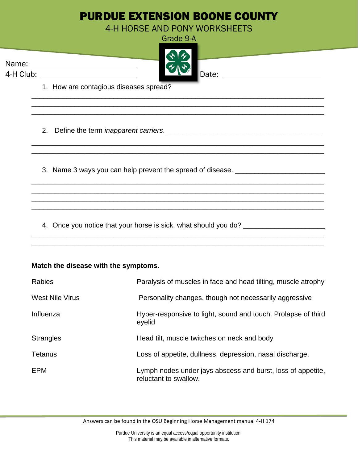# PURDUE EXTENSION BOONE COUNTY

4-H HORSE AND PONY WORKSHEETS

|           | Grade 9-A |
|-----------|-----------|
|           | 42        |
| Name:     | そご        |
| 4-H Club: | Date:     |

\_\_\_\_\_\_\_\_\_\_\_\_\_\_\_\_\_\_\_\_\_\_\_\_\_\_\_\_\_\_\_\_\_\_\_\_\_\_\_\_\_\_\_\_\_\_\_\_\_\_\_\_\_\_\_\_\_\_\_\_\_\_\_\_\_\_\_\_\_\_\_\_\_\_\_ \_\_\_\_\_\_\_\_\_\_\_\_\_\_\_\_\_\_\_\_\_\_\_\_\_\_\_\_\_\_\_\_\_\_\_\_\_\_\_\_\_\_\_\_\_\_\_\_\_\_\_\_\_\_\_\_\_\_\_\_\_\_\_\_\_\_\_\_\_\_\_\_\_\_\_ \_\_\_\_\_\_\_\_\_\_\_\_\_\_\_\_\_\_\_\_\_\_\_\_\_\_\_\_\_\_\_\_\_\_\_\_\_\_\_\_\_\_\_\_\_\_\_\_\_\_\_\_\_\_\_\_\_\_\_\_\_\_\_\_\_\_\_\_\_\_\_\_\_\_\_

\_\_\_\_\_\_\_\_\_\_\_\_\_\_\_\_\_\_\_\_\_\_\_\_\_\_\_\_\_\_\_\_\_\_\_\_\_\_\_\_\_\_\_\_\_\_\_\_\_\_\_\_\_\_\_\_\_\_\_\_\_\_\_\_\_\_\_\_\_\_\_\_\_\_\_ \_\_\_\_\_\_\_\_\_\_\_\_\_\_\_\_\_\_\_\_\_\_\_\_\_\_\_\_\_\_\_\_\_\_\_\_\_\_\_\_\_\_\_\_\_\_\_\_\_\_\_\_\_\_\_\_\_\_\_\_\_\_\_\_\_\_\_\_\_\_\_\_\_\_\_

\_\_\_\_\_\_\_\_\_\_\_\_\_\_\_\_\_\_\_\_\_\_\_\_\_\_\_\_\_\_\_\_\_\_\_\_\_\_\_\_\_\_\_\_\_\_\_\_\_\_\_\_\_\_\_\_\_\_\_\_\_\_\_\_\_\_\_\_\_\_\_\_\_\_\_ \_\_\_\_\_\_\_\_\_\_\_\_\_\_\_\_\_\_\_\_\_\_\_\_\_\_\_\_\_\_\_\_\_\_\_\_\_\_\_\_\_\_\_\_\_\_\_\_\_\_\_\_\_\_\_\_\_\_\_\_\_\_\_\_\_\_\_\_\_\_\_\_\_\_\_ \_\_\_\_\_\_\_\_\_\_\_\_\_\_\_\_\_\_\_\_\_\_\_\_\_\_\_\_\_\_\_\_\_\_\_\_\_\_\_\_\_\_\_\_\_\_\_\_\_\_\_\_\_\_\_\_\_\_\_\_\_\_\_\_\_\_\_\_\_\_\_\_\_\_\_ \_\_\_\_\_\_\_\_\_\_\_\_\_\_\_\_\_\_\_\_\_\_\_\_\_\_\_\_\_\_\_\_\_\_\_\_\_\_\_\_\_\_\_\_\_\_\_\_\_\_\_\_\_\_\_\_\_\_\_\_\_\_\_\_\_\_\_\_\_\_\_\_\_\_\_

\_\_\_\_\_\_\_\_\_\_\_\_\_\_\_\_\_\_\_\_\_\_\_\_\_\_\_\_\_\_\_\_\_\_\_\_\_\_\_\_\_\_\_\_\_\_\_\_\_\_\_\_\_\_\_\_\_\_\_\_\_\_\_\_\_\_\_\_\_\_\_\_\_\_\_

1. How are contagious diseases spread?

2. Define the term *inapparent carriers*.

3. Name 3 ways you can help prevent the spread of disease. \_\_\_\_\_\_\_\_\_\_\_\_\_\_\_\_\_\_\_\_\_

4. Once you notice that your horse is sick, what should you do? \_\_\_\_\_\_\_\_\_\_\_\_\_\_\_\_\_

## **Match the disease with the symptoms.**

| <b>Rabies</b>          | Paralysis of muscles in face and head tilting, muscle atrophy                        |
|------------------------|--------------------------------------------------------------------------------------|
| <b>West Nile Virus</b> | Personality changes, though not necessarily aggressive                               |
| Influenza              | Hyper-responsive to light, sound and touch. Prolapse of third<br>eyelid              |
| <b>Strangles</b>       | Head tilt, muscle twitches on neck and body                                          |
| Tetanus                | Loss of appetite, dullness, depression, nasal discharge.                             |
| <b>EPM</b>             | Lymph nodes under jays abscess and burst, loss of appetite,<br>reluctant to swallow. |

Answers can be found in the OSU Beginning Horse Management manual 4-H 174